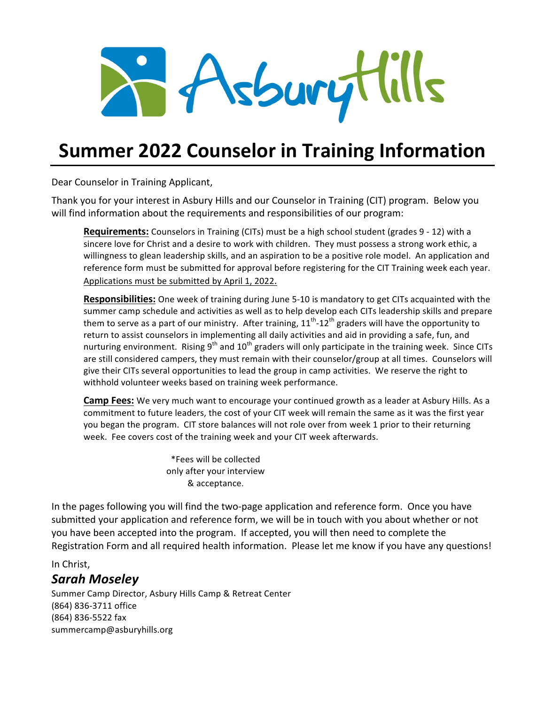

# **Summer 2022 Counselor in Training Information**

Dear Counselor in Training Applicant,

Thank you for your interest in Asbury Hills and our Counselor in Training (CIT) program. Below you will find information about the requirements and responsibilities of our program:

**Requirements:** Counselors in Training (CITs) must be a high school student (grades 9 - 12) with a sincere love for Christ and a desire to work with children. They must possess a strong work ethic, a willingness to glean leadership skills, and an aspiration to be a positive role model. An application and reference form must be submitted for approval before registering for the CIT Training week each year. Applications must be submitted by April 1, 2022.

**Responsibilities:** One week of training during June 5-10 is mandatory to get CITs acquainted with the summer camp schedule and activities as well as to help develop each CITs leadership skills and prepare them to serve as a part of our ministry. After training,  $11^{th}$ -12<sup>th</sup> graders will have the opportunity to return to assist counselors in implementing all daily activities and aid in providing a safe, fun, and nurturing environment. Rising  $9^{th}$  and  $10^{th}$  graders will only participate in the training week. Since CITs are still considered campers, they must remain with their counselor/group at all times. Counselors will give their CITs several opportunities to lead the group in camp activities. We reserve the right to withhold volunteer weeks based on training week performance.

**Camp Fees:** We very much want to encourage your continued growth as a leader at Asbury Hills. As a commitment to future leaders, the cost of your CIT week will remain the same as it was the first year you began the program. CIT store balances will not role over from week 1 prior to their returning week. Fee covers cost of the training week and your CIT week afterwards.

> \*Fees will be collected only after your interview & acceptance.

In the pages following you will find the two-page application and reference form. Once you have submitted your application and reference form, we will be in touch with you about whether or not you have been accepted into the program. If accepted, you will then need to complete the Registration Form and all required health information. Please let me know if you have any questions!

In Christ,

#### *Sarah Moseley*

Summer Camp Director, Asbury Hills Camp & Retreat Center (864) 836-3711 office (864) 836-5522 fax summercamp@asburyhills.org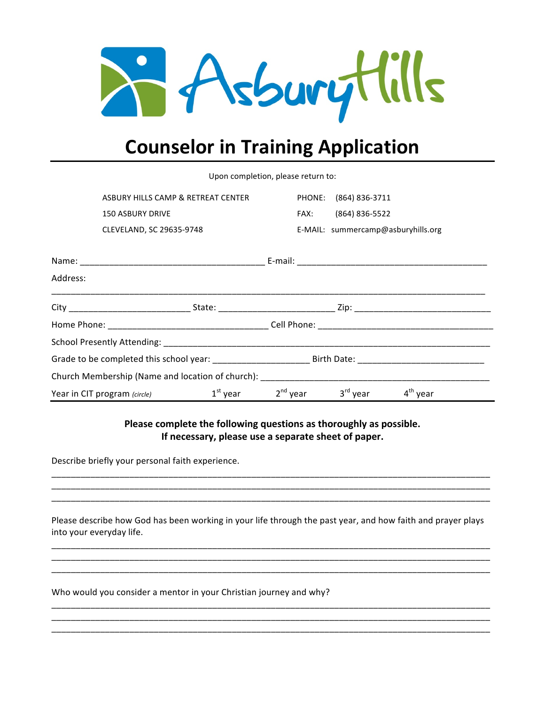

# **Counselor in Training Application**

|          | Upon completion, please return to: |  |  |                                             |  |
|----------|------------------------------------|--|--|---------------------------------------------|--|
|          | ASBURY HILLS CAMP & RETREAT CENTER |  |  | PHONE: (864) 836-3711                       |  |
|          | <b>150 ASBURY DRIVE</b>            |  |  | FAX: (864) 836-5522                         |  |
|          | CLEVELAND, SC 29635-9748           |  |  | E-MAIL: summercamp@asburyhills.org          |  |
|          |                                    |  |  |                                             |  |
| Address: |                                    |  |  |                                             |  |
|          |                                    |  |  |                                             |  |
|          |                                    |  |  |                                             |  |
|          |                                    |  |  |                                             |  |
|          |                                    |  |  |                                             |  |
|          |                                    |  |  |                                             |  |
|          | Year in CIT program (circle)       |  |  | $1st$ year $2nd$ year $3rd$ year $4th$ year |  |

Please complete the following questions as thoroughly as possible. If necessary, please use a separate sheet of paper.

Describe briefly your personal faith experience.

Please describe how God has been working in your life through the past year, and how faith and prayer plays into your everyday life.

\_\_\_\_\_\_\_\_\_\_\_\_\_\_\_\_\_\_\_\_\_\_\_\_\_\_\_\_\_\_\_\_\_\_\_\_\_\_\_\_\_\_\_\_\_\_\_\_\_\_\_\_\_\_\_\_\_\_\_\_\_\_\_\_\_\_\_\_\_\_\_\_\_\_\_\_\_\_\_\_\_\_\_\_\_\_\_\_\_\_

\_\_\_\_\_\_\_\_\_\_\_\_\_\_\_\_\_\_\_\_\_\_\_\_\_\_\_\_\_\_\_\_\_\_\_\_\_\_\_\_\_\_\_\_\_\_\_\_\_\_\_\_\_\_\_\_\_\_\_\_\_\_\_\_\_\_\_\_\_\_\_\_\_\_\_\_\_\_\_\_\_\_\_\_\_\_\_\_\_\_

\_\_\_\_\_\_\_\_\_\_\_\_\_\_\_\_\_\_\_\_\_\_\_\_\_\_\_\_\_\_\_\_\_\_\_\_\_\_\_\_\_\_\_\_\_\_\_\_\_\_\_\_\_\_\_\_\_\_\_\_\_\_\_\_\_\_\_\_\_\_\_\_\_\_\_\_\_\_\_\_\_\_\_\_\_\_\_\_\_\_ \_\_\_\_\_\_\_\_\_\_\_\_\_\_\_\_\_\_\_\_\_\_\_\_\_\_\_\_\_\_\_\_\_\_\_\_\_\_\_\_\_\_\_\_\_\_\_\_\_\_\_\_\_\_\_\_\_\_\_\_\_\_\_\_\_\_\_\_\_\_\_\_\_\_\_\_\_\_\_\_\_\_\_\_\_\_\_\_\_\_

\_\_\_\_\_\_\_\_\_\_\_\_\_\_\_\_\_\_\_\_\_\_\_\_\_\_\_\_\_\_\_\_\_\_\_\_\_\_\_\_\_\_\_\_\_\_\_\_\_\_\_\_\_\_\_\_\_\_\_\_\_\_\_\_\_\_\_\_\_\_\_\_\_\_\_\_\_\_\_\_\_\_\_\_\_\_\_\_\_\_ \_\_\_\_\_\_\_\_\_\_\_\_\_\_\_\_\_\_\_\_\_\_\_\_\_\_\_\_\_\_\_\_\_\_\_\_\_\_\_\_\_\_\_\_\_\_\_\_\_\_\_\_\_\_\_\_\_\_\_\_\_\_\_\_\_\_\_\_\_\_\_\_\_\_\_\_\_\_\_\_\_\_\_\_\_\_\_\_\_\_

Who would you consider a mentor in your Christian journey and why?

\_\_\_\_\_\_\_\_\_\_\_\_\_\_\_\_\_\_\_\_\_\_\_\_\_\_\_\_\_\_\_\_\_\_\_\_\_\_\_\_\_\_\_\_\_\_\_\_\_\_\_\_\_\_\_\_\_\_\_\_\_\_\_\_\_\_\_\_\_\_\_\_\_\_\_\_\_\_\_\_\_\_\_\_\_\_\_\_\_\_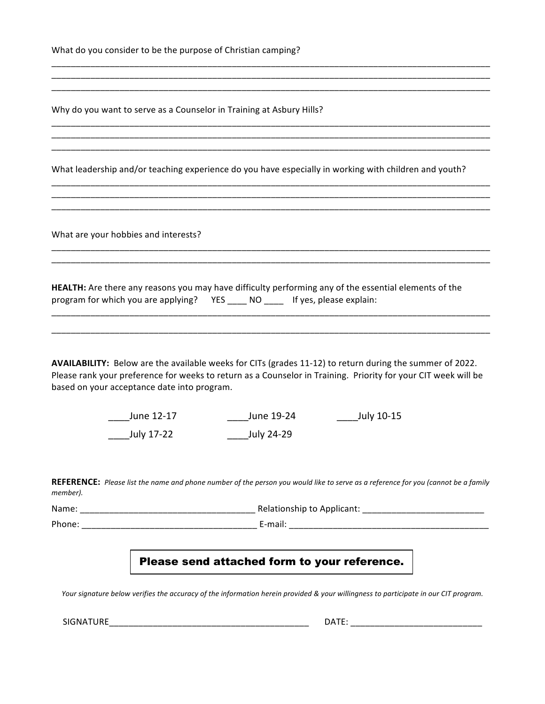| What do you consider to be the purpose of Christian camping? |  |  |  |  |  |
|--------------------------------------------------------------|--|--|--|--|--|
|--------------------------------------------------------------|--|--|--|--|--|

Why do you want to serve as a Counselor in Training at Asbury Hills?

What leadership and/or teaching experience do you have especially in working with children and youth?

\_\_\_\_\_\_\_\_\_\_\_\_\_\_\_\_\_\_\_\_\_\_\_\_\_\_\_\_\_\_\_\_\_\_\_\_\_\_\_\_\_\_\_\_\_\_\_\_\_\_\_\_\_\_\_\_\_\_\_\_\_\_\_\_\_\_\_\_\_\_\_\_\_\_\_\_\_\_\_\_\_\_\_\_\_\_\_\_\_\_ \_\_\_\_\_\_\_\_\_\_\_\_\_\_\_\_\_\_\_\_\_\_\_\_\_\_\_\_\_\_\_\_\_\_\_\_\_\_\_\_\_\_\_\_\_\_\_\_\_\_\_\_\_\_\_\_\_\_\_\_\_\_\_\_\_\_\_\_\_\_\_\_\_\_\_\_\_\_\_\_\_\_\_\_\_\_\_\_\_\_ \_\_\_\_\_\_\_\_\_\_\_\_\_\_\_\_\_\_\_\_\_\_\_\_\_\_\_\_\_\_\_\_\_\_\_\_\_\_\_\_\_\_\_\_\_\_\_\_\_\_\_\_\_\_\_\_\_\_\_\_\_\_\_\_\_\_\_\_\_\_\_\_\_\_\_\_\_\_\_\_\_\_\_\_\_\_\_\_\_\_

\_\_\_\_\_\_\_\_\_\_\_\_\_\_\_\_\_\_\_\_\_\_\_\_\_\_\_\_\_\_\_\_\_\_\_\_\_\_\_\_\_\_\_\_\_\_\_\_\_\_\_\_\_\_\_\_\_\_\_\_\_\_\_\_\_\_\_\_\_\_\_\_\_\_\_\_\_\_\_\_\_\_\_\_\_\_\_\_\_\_ \_\_\_\_\_\_\_\_\_\_\_\_\_\_\_\_\_\_\_\_\_\_\_\_\_\_\_\_\_\_\_\_\_\_\_\_\_\_\_\_\_\_\_\_\_\_\_\_\_\_\_\_\_\_\_\_\_\_\_\_\_\_\_\_\_\_\_\_\_\_\_\_\_\_\_\_\_\_\_\_\_\_\_\_\_\_\_\_\_\_ \_\_\_\_\_\_\_\_\_\_\_\_\_\_\_\_\_\_\_\_\_\_\_\_\_\_\_\_\_\_\_\_\_\_\_\_\_\_\_\_\_\_\_\_\_\_\_\_\_\_\_\_\_\_\_\_\_\_\_\_\_\_\_\_\_\_\_\_\_\_\_\_\_\_\_\_\_\_\_\_\_\_\_\_\_\_\_\_\_\_

\_\_\_\_\_\_\_\_\_\_\_\_\_\_\_\_\_\_\_\_\_\_\_\_\_\_\_\_\_\_\_\_\_\_\_\_\_\_\_\_\_\_\_\_\_\_\_\_\_\_\_\_\_\_\_\_\_\_\_\_\_\_\_\_\_\_\_\_\_\_\_\_\_\_\_\_\_\_\_\_\_\_\_\_\_\_\_\_\_\_ \_\_\_\_\_\_\_\_\_\_\_\_\_\_\_\_\_\_\_\_\_\_\_\_\_\_\_\_\_\_\_\_\_\_\_\_\_\_\_\_\_\_\_\_\_\_\_\_\_\_\_\_\_\_\_\_\_\_\_\_\_\_\_\_\_\_\_\_\_\_\_\_\_\_\_\_\_\_\_\_\_\_\_\_\_\_\_\_\_\_ \_\_\_\_\_\_\_\_\_\_\_\_\_\_\_\_\_\_\_\_\_\_\_\_\_\_\_\_\_\_\_\_\_\_\_\_\_\_\_\_\_\_\_\_\_\_\_\_\_\_\_\_\_\_\_\_\_\_\_\_\_\_\_\_\_\_\_\_\_\_\_\_\_\_\_\_\_\_\_\_\_\_\_\_\_\_\_\_\_\_

\_\_\_\_\_\_\_\_\_\_\_\_\_\_\_\_\_\_\_\_\_\_\_\_\_\_\_\_\_\_\_\_\_\_\_\_\_\_\_\_\_\_\_\_\_\_\_\_\_\_\_\_\_\_\_\_\_\_\_\_\_\_\_\_\_\_\_\_\_\_\_\_\_\_\_\_\_\_\_\_\_\_\_\_\_\_\_\_\_\_ \_\_\_\_\_\_\_\_\_\_\_\_\_\_\_\_\_\_\_\_\_\_\_\_\_\_\_\_\_\_\_\_\_\_\_\_\_\_\_\_\_\_\_\_\_\_\_\_\_\_\_\_\_\_\_\_\_\_\_\_\_\_\_\_\_\_\_\_\_\_\_\_\_\_\_\_\_\_\_\_\_\_\_\_\_\_\_\_\_\_

\_\_\_\_\_\_\_\_\_\_\_\_\_\_\_\_\_\_\_\_\_\_\_\_\_\_\_\_\_\_\_\_\_\_\_\_\_\_\_\_\_\_\_\_\_\_\_\_\_\_\_\_\_\_\_\_\_\_\_\_\_\_\_\_\_\_\_\_\_\_\_\_\_\_\_\_\_\_\_\_\_\_\_\_\_\_\_\_\_\_ \_\_\_\_\_\_\_\_\_\_\_\_\_\_\_\_\_\_\_\_\_\_\_\_\_\_\_\_\_\_\_\_\_\_\_\_\_\_\_\_\_\_\_\_\_\_\_\_\_\_\_\_\_\_\_\_\_\_\_\_\_\_\_\_\_\_\_\_\_\_\_\_\_\_\_\_\_\_\_\_\_\_\_\_\_\_\_\_\_\_

What are your hobbies and interests?

|                                         |       | <b>HEALTH:</b> Are there any reasons you may have difficulty performing any of the essential elements of the |
|-----------------------------------------|-------|--------------------------------------------------------------------------------------------------------------|
| program for which you are applying? YES | NO NO | If yes, please explain:                                                                                      |

AVAILABILITY: Below are the available weeks for CITs (grades 11-12) to return during the summer of 2022. Please rank your preference for weeks to return as a Counselor in Training. Priority for your CIT week will be based on your acceptance date into program.

> June 12-17 \_\_\_\_July 17-22 \_\_\_\_June 19-24 \_\_\_\_July 10-15  $\_$ July 24-29

**REFERENCE:** Please list the name and phone number of the person you would like to serve as a reference for you (cannot be a family *member).*

Name: \_\_\_\_\_\_\_\_\_\_\_\_\_\_\_\_\_\_\_\_\_\_\_\_\_\_\_\_\_\_\_\_\_\_\_\_ Relationship to Applicant: \_\_\_\_\_\_\_\_\_\_\_\_\_\_\_\_\_\_\_\_\_\_\_\_\_ Phone: \_\_\_\_\_\_\_\_\_\_\_\_\_\_\_\_\_\_\_\_\_\_\_\_\_\_\_\_\_\_\_\_\_\_\_\_ E-mail: \_\_\_\_\_\_\_\_\_\_\_\_\_\_\_\_\_\_\_\_\_\_\_\_\_\_\_\_\_\_\_\_\_\_\_\_\_\_\_\_\_

#### Please send attached form to your reference.

Your signature below verifies the accuracy of the information herein provided & your willingness to participate in our CIT program.

SIGNATURE\_\_\_\_\_\_\_\_\_\_\_\_\_\_\_\_\_\_\_\_\_\_\_\_\_\_\_\_\_\_\_\_\_\_\_\_\_\_\_\_\_ DATE: \_\_\_\_\_\_\_\_\_\_\_\_\_\_\_\_\_\_\_\_\_\_\_\_\_\_\_